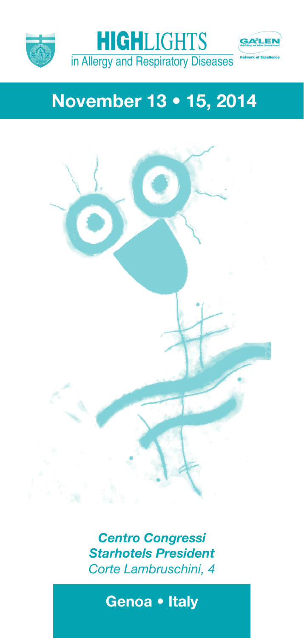



# **November 13 • 15, 2014**



*Centro Congressi Starhotels President Corte Lambruschini, 4*

**Genoa • Italy**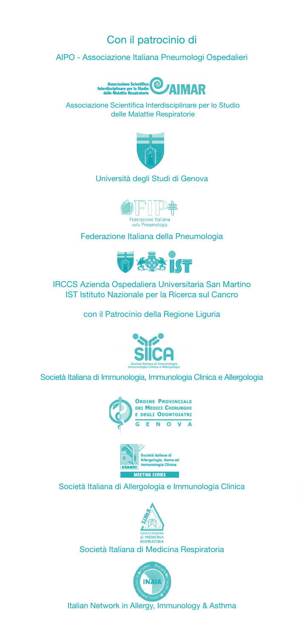### Con il patrocinio di

AIPO - Associazione Italiana Pneumologi Ospedalieri



Associazione Scientifica Interdisciplinare per lo Studio delle Malattie Respiratorie



#### Università degli Studi di Genova



Federazione Italiana della Pneumologia



IRCCS Azienda Ospedaliera Universitaria San Martino IST Istituto Nazionale per la Ricerca sul Cancro

con il Patrocinio della Regione Liguria



Società Italiana di Immunologia, Immunologia Clinica e Allergologia





Società Italiana di Allergologia e Immunologia Clinica



Società Italiana di Medicina Respiratoria



Italian Network in Allergy, Immunology & Asthma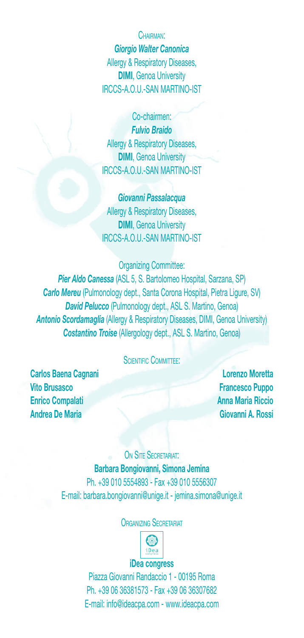CHAIDMAN<sup>1</sup> *Giorgio Walter Canonica* Allergy & Respiratory Diseases, **DIMI**, Genoa University IRCCS-A.O.U.-SAN MARTINO-IST

Co-chairmen: *Fulvio Braido* Allergy & Respiratory Diseases, **DIMI**, Genoa University IRCCS-A.O.U.-SAN MARTINO-IST

*Giovanni Passalacqua* Allergy & Respiratory Diseases. **DIMI**, Genoa University IRCCS-A.O.U.-SAN MARTINO-IST

Organizing Committee: *Pier Aldo Canessa* (ASL 5, S. Bartolomeo Hospital, Sarzana, SP) *Carlo Mereu* (Pulmonology dept., Santa Corona Hospital, Pietra Ligure, SV) *David Pelucco* (Pulmonology dept., ASL S. Martino, Genoa) **Antonio Scordamaglia** (Allergy & Respiratory Diseases, DIMI, Genoa University)

*Costantino Troise* (Allergology dept., ASL S. Martino, Genoa)

#### SCIENTIFIC COMMITTEE'

**Carlos Baena Cagnani Lorenzo Moretta Vito Brusasco Francesco Puppo Enrico Compalati Anna Maria Riccio Andrea De Maria Giovanni A. Rossi**

ON SITE SECRETARIAT: **Barbara Bongiovanni, Simona Jemina** Ph. +39 010 5554893 - Fax +39 010 5556307 E-mail: barbara.bongiovanni@unige.it - jemina.simona@unige.it

#### **ORGANIZING SECRETARIAT**



#### **iDea congress**

Piazza Giovanni Randaccio 1 - 00195 Roma Ph. +39 06 36381573 - Fax +39 06 36307682 E-mail: info@ideacpa.com - www.ideacpa.com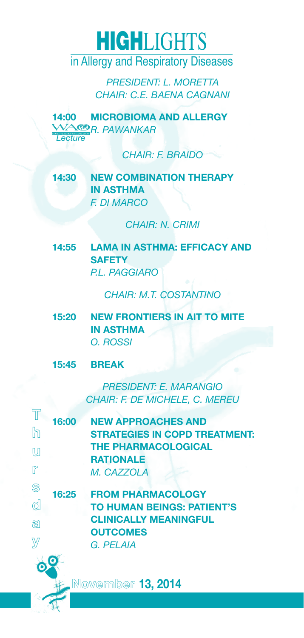in Allergy and Respiratory Diseases

*PRESIDENT: L. MORETTA CHAIR: C.E. BAENA CAGNANI*

**14:00 MICROBIOMA AND ALLERGY**  *R. PAWANKAR Lecture*

*CHAIR: F. BRAIDO*

### **14:30 NEW COMBINATION THERAPY IN ASTHMA** *F. DI MARCO*

*CHAIR: N. CRIMI*

**14:55 LAMA IN ASTHMA: EFFICACY AND SAFETY** *P.L. PAGGIARO*

*CHAIR: M.T. COSTANTINO*

**15:20 NEW FRONTIERS IN AIT TO MITE IN ASTHMA** *O. ROSSI*

#### **15:45 BREAK**

*PRESIDENT: E. MARANGIO CHAIR: F. DE MICHELE, C. MEREU*

| 16:00                | <b>NEW APPROACHES AND</b>            |  |  |
|----------------------|--------------------------------------|--|--|
| $\mathbb{R}$         | <b>STRATEGIES IN COPD TREATMENT:</b> |  |  |
| M                    | <b>THE PHARMACOLOGICAL</b>           |  |  |
|                      | <b>RATIONALE</b>                     |  |  |
| r                    | M. CAZZOLA                           |  |  |
| $\circledS$<br>16:25 | <b>FROM PHARMACOLOGY</b>             |  |  |
| ₫                    | <b>TO HUMAN BEINGS: PATIENT'S</b>    |  |  |
|                      |                                      |  |  |
|                      | <b>CLINICALLY MEANINGFUL</b>         |  |  |
|                      | <b>OUTCOMES</b>                      |  |  |
|                      | G. PFI AIA                           |  |  |
|                      |                                      |  |  |
|                      |                                      |  |  |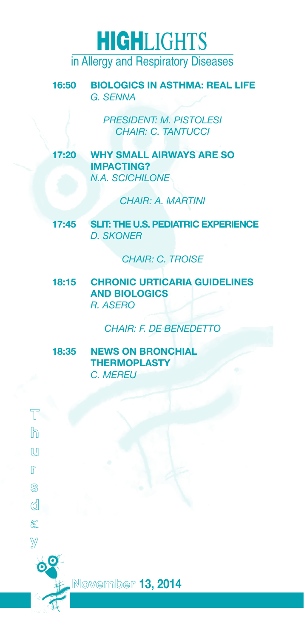**16:50 BIOLOGICS IN ASTHMA: REAL LIFE** *G. SENNA*

> *PRESIDENT: M. PISTOLESI CHAIR: C. TANTUCCI*

**17:20 WHY SMALL AIRWAYS ARE SO IMPACTING?** *N.A. SCICHILONE* 

*CHAIR: A. MARTINI*

**17:45 SLIT: THE U.S. PEDIATRIC EXPERIENCE** *D. SKONER* 

*CHAIR: C. TROISE*

**18:15 CHRONIC URTICARIA GUIDELINES AND BIOLOGICS** *R. ASERO*

*CHAIR: F. DE BENEDETTO* 

**18:35 NEWS ON BRONCHIAL THERMOPLASTY** *C. MEREU*

**T h u r s d a y**

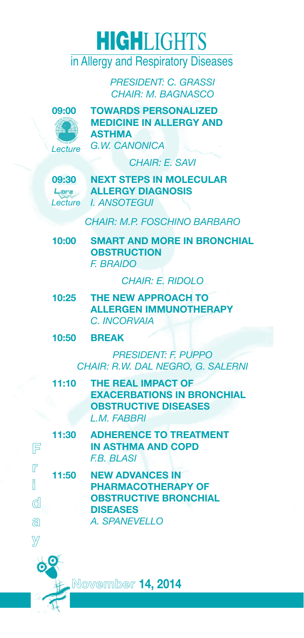*PRESIDENT: C. GRASSI CHAIR: M. BAGNASCO*



**09:00 TOWARDS PERSONALIZED MEDICINE IN ALLERGY AND ASTHMA** *G.W. CANONICA*

*CHAIR: E. SAVI*

Libra

**09:30 NEXT STEPS IN MOLECULAR ALLERGY DIAGNOSIS** *I. ANSOTEGUI Lecture*

*CHAIR: M.P. FOSCHINO BARBARO*

**10:00 SMART AND MORE IN BRONCHIAL OBSTRUCTION** *F. BRAIDO*

*CHAIR: E. RIDOLO*

- **10:25 THE NEW APPROACH TO ALLERGEN IMMUNOTHERAPY** *C. INCORVAIA*
- **10:50 BREAK**

**r i**

**y**

*PRESIDENT: F. PUPPO CHAIR: R.W. DAL NEGRO, G. SALERNI*

**11:10 THE REAL IMPACT OF EXACERBATIONS IN BRONCHIAL OBSTRUCTIVE DISEASES** *L.M. FABBRI*

|        | 11:30                                                        | <b>ADHERENCE TO TREATMENT</b>                   |  |  |
|--------|--------------------------------------------------------------|-------------------------------------------------|--|--|
| 厚      |                                                              | <b>IN ASTHMA AND COPD</b><br><b>F.B. BLASI</b>  |  |  |
| r<br>i | <b>NEW ADVANCES IN</b><br>11:50<br><b>PHARMACOTHERAPY OF</b> |                                                 |  |  |
| ₫      |                                                              | <b>OBSTRUCTIVE BRONCHIAL</b><br><b>DISEASES</b> |  |  |
| இ      |                                                              | A. SPANEVELLO                                   |  |  |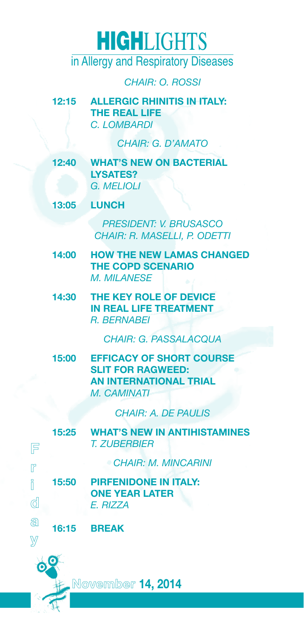in Allergy and Respiratory Diseases

*CHAIR: O. ROSSI* 

**12:15 ALLERGIC RHINITIS IN ITALY: THE REAL LIFE** *C. LOMBARDI*

*CHAIR: G. D'AMATO*

**12:40 WHAT'S NEW ON BACTERIAL LYSATES?** *G. MELIOLI*

**13:05 LUNCH**

*PRESIDENT: V. BRUSASCO CHAIR: R. MASELLI, P. ODETTI*

- **14:00 HOW THE NEW LAMAS CHANGED THE COPD SCENARIO** *M. MILANESE*
- **14:30 THE KEY ROLE OF DEVICE IN REAL LIFE TREATMENT** *R. BERNABEI*

*CHAIR: G. PASSALACQUA*

**15:00 EFFICACY OF SHORT COURSE SLIT FOR RAGWEED: AN INTERNATIONAL TRIAL** *M. CAMINATI*

*CHAIR: A. DE PAULIS*

| 庐      |       | <b>15:25 WHAT'S NEW IN ANTIHISTAMINES</b><br>T. ZUBERBIER         |
|--------|-------|-------------------------------------------------------------------|
| r      |       | <b>CHAIR: M. MINCARINI</b>                                        |
| i<br>₫ | 15:50 | <b>PIRFENIDONE IN ITALY:</b><br><b>ONE YEAR LATER</b><br>F. RIZZA |
| ඞ      |       | <b>16:15 BREAK</b>                                                |

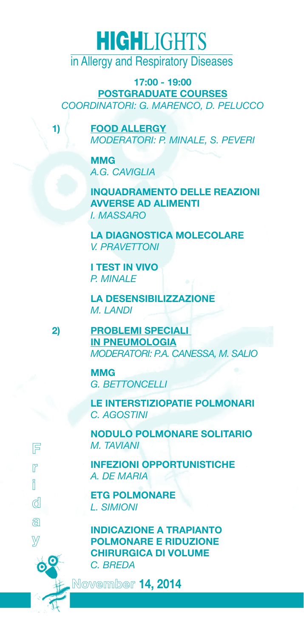in Allergy and Respiratory Diseases

**17:00 - 19:00 POSTGRADUATE COURSES** *COORDINATORI: G. MARENCO, D. PELUCCO*

**1) FOOD ALLERGY** *MODERATORI: P. MINALE, S. PEVERI* 

> **MMG** *A.G. CAVIGLIA*

**INQUADRAMENTO DELLE REAZIONI AVVERSE AD ALIMENTI** *I. MASSARO*

**LA DIAGNOSTICA MOLECOLARE** *V. PRAVETTONI*

**I TEST IN VIVO** *P. MINALE*

**LA DESENSIBILIZZAZIONE** *M. LANDI*

**2) PROBLEMI SPECIALI IN PNEUMOLOGIA** *MODERATORI: P.A. CANESSA, M. SALIO*

> **MMG** *G. BETTONCELLI*

**F r i d a y**

**LE INTERSTIZIOPATIE POLMONARI** *C. AGOSTINI*

**NODULO POLMONARE SOLITARIO** *M. TAVIANI*

**INFEZIONI OPPORTUNISTICHE**  *A. DE MARIA*

**ETG POLMONARE** *L. SIMIONI*

**INDICAZIONE A TRAPIANTO POLMONARE E RIDUZIONE CHIRURGICA DI VOLUME**  *C. BREDA*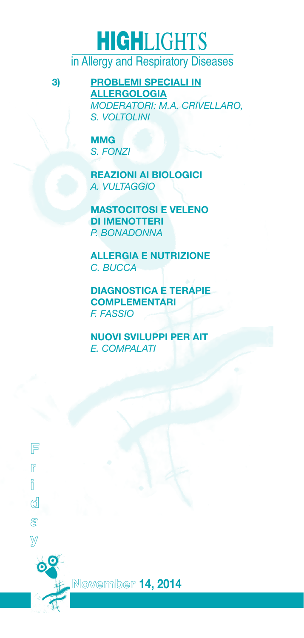**F r i d a y** **3) PROBLEMI SPECIALI IN ALLERGOLOGIA** *MODERATORI: M.A. CRIVELLARO, S. VOLTOLINI*

> **MMG** *S. FONZI*

**REAZIONI AI BIOLOGICI** *A. VULTAGGIO*

**MASTOCITOSI E VELENO DI IMENOTTERI** *P. BONADONNA*

**ALLERGIA E NUTRIZIONE**  *C. BUCCA*

**DIAGNOSTICA E TERAPIE COMPLEMENTARI** *F. FASSIO*

**NUOVI SVILUPPI PER AIT** *E. COMPALATI*

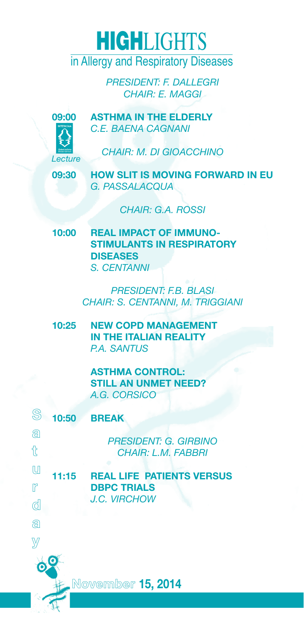*PRESIDENT: F. DALLEGRI CHAIR: E. MAGGI*



**09:00 ASTHMA IN THE ELDERLY** *C.E. BAENA CAGNANI* 

*CHAIR: M. DI GIOACCHINO*

**09:30 HOW SLIT IS MOVING FORWARD IN EU** *G. PASSALACQUA* 

*CHAIR: G.A. ROSSI*

**10:00 REAL IMPACT OF IMMUNO-STIMULANTS IN RESPIRATORY DISEASES** *S. CENTANNI*

> *PRESIDENT: F.B. BLASI CHAIR: S. CENTANNI, M. TRIGGIANI*

**10:25 NEW COPD MANAGEMENT IN THE ITALIAN REALITY** *P.A. SANTUS*

> **ASTHMA CONTROL: STILL AN UNMET NEED?** *A.G. CORSICO*

| S<br>10:50    | <b>BREAK</b>                     |  |  |
|---------------|----------------------------------|--|--|
| a             | <b>PRESIDENT: G. GIRBINO</b>     |  |  |
| $\mathcal{L}$ | <b>CHAIR: L.M. FABBRI</b>        |  |  |
| M<br>11:15    | <b>REAL LIFE PATIENTS VERSUS</b> |  |  |
| m             | <b>DBPC TRIALS</b>               |  |  |
| ₫             | J.C. VIRCHOW                     |  |  |
| ධ             |                                  |  |  |
|               |                                  |  |  |
|               |                                  |  |  |

**November 15, 2014**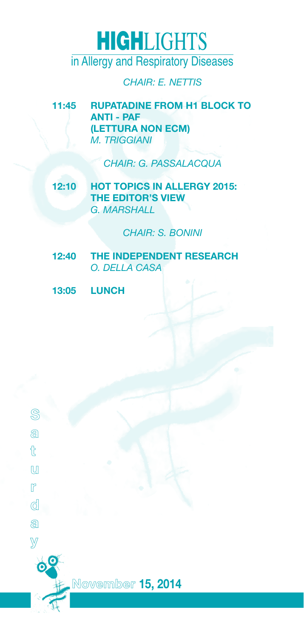*CHAIR: E. NETTIS*

**11:45 RUPATADINE FROM H1 BLOCK TO ANTI - PAF (LETTURA NON ECM)** *M. TRIGGIANI*

*CHAIR: G. PASSALACQUA*

**12:10 HOT TOPICS IN ALLERGY 2015: THE EDITOR'S VIEW** *G. MARSHALL*

*CHAIR: S. BONINI*

- **12:40 THE INDEPENDENT RESEARCH** *O. DELLA CASA*
- **13:05 LUNCH**

**a t u r d a y**

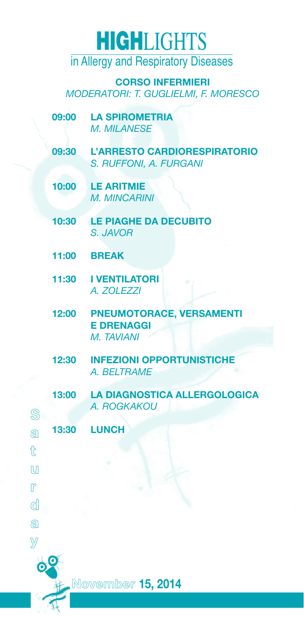in Allergy and Respiratory Diseases

**CORSO INFERMIERI** *MODERATORI: T. GUGLIELMI, F. MORESCO*

- **09:00 LA SPIROMETRIA** *M. MILANESE*
- **09:30 L'ARRESTO CARDIORESPIRATORIO** *S. RUFFONI, A. FURGANI*
- **10:00 LE ARITMIE** *M. MINCARINI*
- **10:30 LE PIAGHE DA DECUBITO** *S. JAVOR*
- **11:00 BREAK**
- **11:30 I VENTILATORI** *A. ZOLEZZI*
- **12:00 PNEUMOTORACE, VERSAMENTI E DRENAGGI** *M. TAVIANI*
- **12:30 INFEZIONI OPPORTUNISTICHE**  *A. BELTRAME*
- **13:00 LA DIAGNOSTICA ALLERGOLOGICA** *A. ROGKAKOU*
- **a 13:30 LUNCH**
- **t u**

**r d a y**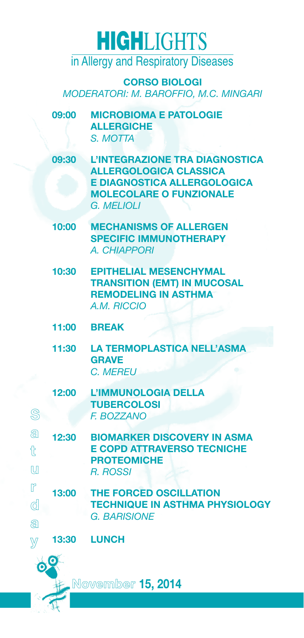**CORSO BIOLOGI** *MODERATORI: M. BAROFFIO, M.C. MINGARI*

- **09:00 MICROBIOMA E PATOLOGIE ALLERGICHE**  *S. MOTTA*
- **09:30 L'INTEGRAZIONE TRA DIAGNOSTICA ALLERGOLOGICA CLASSICA E DIAGNOSTICA ALLERGOLOGICA MOLECOLARE O FUNZIONALE** *G. MELIOLI*
- **10:00 MECHANISMS OF ALLERGEN SPECIFIC IMMUNOTHERAPY** *A. CHIAPPORI*
- **10:30 EPITHELIAL MESENCHYMAL TRANSITION (EMT) IN MUCOSAL REMODELING IN ASTHMA**  *A.M. RICCIO*
- **11:00 BREAK**
- **11:30 LA TERMOPLASTICA NELL'ASMA GRAVE**  *C. MEREU*
- **12:00 L'IMMUNOLOGIA DELLA TUBERCOLOSI**  *F. BOZZANO*
- **a t u 12:30 BIOMARKER DISCOVERY IN ASMA E COPD ATTRAVERSO TECNICHE PROTEOMICHE**  *R. ROSSI*
- **r d a 13:00 THE FORCED OSCILLATION TECHNIQUE IN ASTHMA PHYSIOLOGY**  *G. BARISIONE*

**13:30 LUNCH**



**y**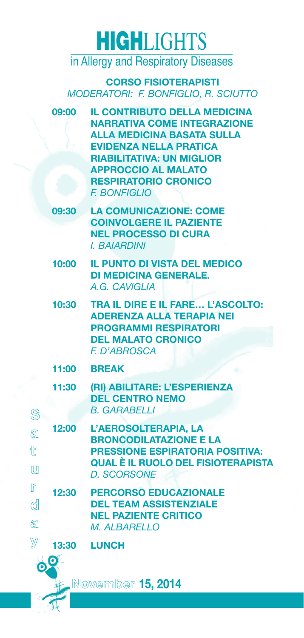**CORSO FISIOTERAPISTI**  *MODERATORI: F. BONFIGLIO, R. SCIUTTO*

- **09:00 IL CONTRIBUTO DELLA MEDICINA NARRATIVA COME INTEGRAZIONE ALLA MEDICINA BASATA SULLA EVIDENZA NELLA PRATICA RIABILITATIVA: UN MIGLIOR APPROCCIO AL MALATO RESPIRATORIO CRONICO** *F. BONFIGLIO*
- **09:30 LA COMUNICAZIONE: COME COINVOLGERE IL PAZIENTE NEL PROCESSO DI CURA** *I. BAIARDINI*
- **10:00 IL PUNTO DI VISTA DEL MEDICO DI MEDICINA GENERALE.** *A.G. CAVIGLIA*
- **10:30 TRA IL DIRE E IL FARE… L'ASCOLTO: ADERENZA ALLA TERAPIA NEI PROGRAMMI RESPIRATORI DEL MALATO CRONICO** *F. D'ABROSCA*
- **11:00 BREAK**
- **11:30 (RI) ABILITARE: L'ESPERIENZA DEL CENTRO NEMO** *B. GARABELLI*
- **a t**  $\mathbf{u}$ **r d 12:00 L'AEROSOLTERAPIA, LA BRONCODILATAZIONE E LA PRESSIONE ESPIRATORIA POSITIVA: QUAL È IL RUOLO DEL FISIOTERAPISTA** *D. SCORSONE* **12:30 PERCORSO EDUCAZIONALE DEL TEAM ASSISTENZIALE** 
	- **NEL PAZIENTE CRITICO** *M. ALBARELLO*



**a**

**13:30 LUNCH**

### **November 15, 2014**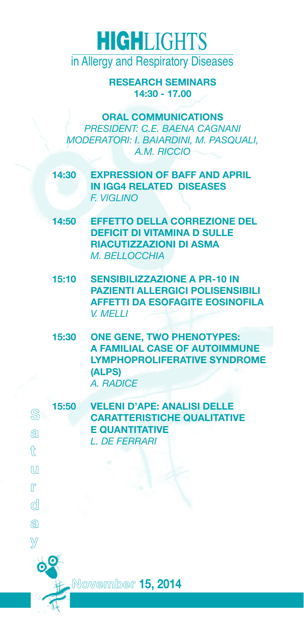**RESEARCH SEMINARS 14:30 - 17.00**

**ORAL COMMUNICATIONS** *PRESIDENT: C.E. BAENA CAGNANI MODERATORI: I. BAIARDINI, M. PASQUALI, A.M. RICCIO*

- **14:30 EXPRESSION OF BAFF AND APRIL IN IGG4 RELATED DISEASES** *F. VIGLINO*
- **14:50 EFFETTO DELLA CORREZIONE DEL DEFICIT DI VITAMINA D SULLE RIACUTIZZAZIONI DI ASMA** *M. BELLOCCHIA*
- **15:10 SENSIBILIZZAZIONE A PR-10 IN PAZIENTI ALLERGICI POLISENSIBILI AFFETTI DA ESOFAGITE EOSINOFILA** *V. MELLI*
- **15:30 ONE GENE, TWO PHENOTYPES: A FAMILIAL CASE OF AUTOIMMUNE LYMPHOPROLIFERATIVE SYNDROME (ALPS)** *A. RADICE*
- **15:50 VELENI D'APE: ANALISI DELLE CARATTERISTICHE QUALITATIVE E QUANTITATIVE** *L. DE FERRARI*

**S a t u r d a y**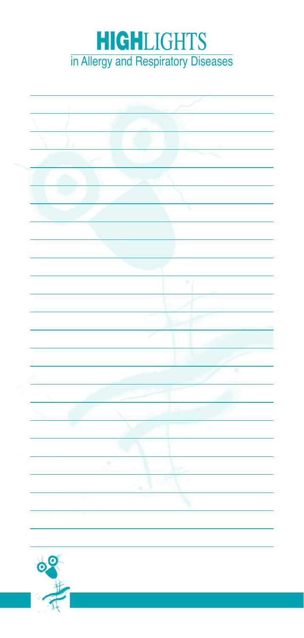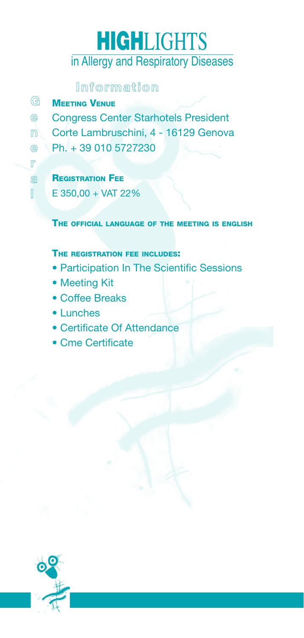### **Information**

| G | <b>MEETING VENUE</b> |  |
|---|----------------------|--|
|   |                      |  |
|   |                      |  |

**e r a l**

- **e** Congress Center Starhotels President
- **n** Corte Lambruschini, 4 - 16129 Genova
	- Ph. + 39 010 5727230

**REGISTRATION FEE** 

E 350,00 + VAT 22%

The official language of the meeting is english

#### THE REGISTRATION FEE INCLUDES!

- Participation In The Scientific Sessions
- Meeting Kit
- Coffee Breaks
- Lunches
- Certificate Of Attendance
- Cme Certificate

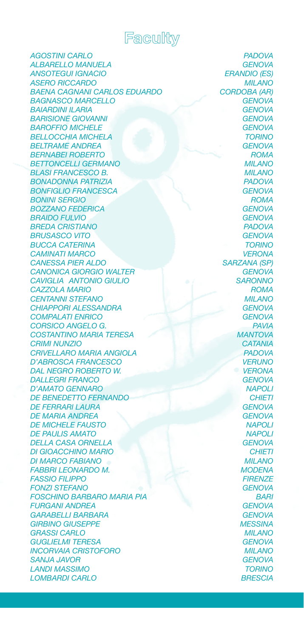

*AGOSTINI CARLO PADOVA ALBARELLO MANUELA GENOVA ANSOTEGUI IGNACIO ERANDIO (ES) ASERO RICCARDO MILANO BAENA CAGNANI CARLOS EDUARDO CORDOBA (AR) BAGNASCO MARCELLO GENOVA BAIARDINI ILARIA GENOVA BARISIONE GIOVANNI GENOVA* **BAROFFIO MICHELE** *BELLOCCHIA MICHELA TORINO* **BELTRAME ANDREA** *BERNABEI ROBERTO ROMA BETTONCELLI GERMANO MILANO BLASI FRANCESCO B. MILANO BONADONNA PATRIZIA PADOVA BONFIGLIO FRANCESCA GENOVA BONINI SERGIO ROMA BOZZANO FEDERICA GENOVA BRAIDO FULVIO GENOVA BREDA CRISTIANO PADOVA BRUSASCO VITO GENOVA BUCCA CATERINA TORINO CAMINATI MARCO VERONA CANESSA PIER ALDO SARZANA (SP) CANONICA GIORGIO WALTER GENOVA CAVIGLIA ANTONIO GIULIO SARONNO CAZZOLA MARIO ROMA CENTANNI STEFANO MILANO CHIAPPORI ALESSANDRA GENOVA COMPALATI ENRICO GENOVA CORSICO ANGELO G. PAVIA COSTANTINO MARIA TERESA MANTOVA CRIMI NUNZIO CATANIA CRIVELLARO MARIA ANGIOLA PADOVA D'ABROSCA FRANCESCO VERUNO DAL NEGRO ROBERTO W. VERONA DALLEGRI FRANCO GENOVA D'AMATO GENNARO NAPOLI DE BENEDETTO FERNANDO CHIETI DE FERRARI LAURA DE MARIA ANDREA GENOVA DE MICHELE FAUSTO NAPOLI DE PAULIS AMATO NAPOLI* **DELLA CASA ORNELLA** *DI GIOACCHINO MARIO CHIETI DI MARCO FABIANO MILANO FABBRI LEONARDO M. MODENA FASSIO FILIPPO FIRENZE* **FONZI STEFANO** *FOSCHINO BARBARO MARIA PIA BARI FURGANI ANDREA GENOVA GARABELLI BARBARA GENOVA GIRBINO GIUSEPPE MESSINA GRASSI CARLO MILANO GUGLIELMI TERESA GENOVA INCORVAIA CRISTOFORO MILANO SANJA JAVOR GENOVA LANDI MASSIMO TORINO LOMBARDI CARLO BRESCIA*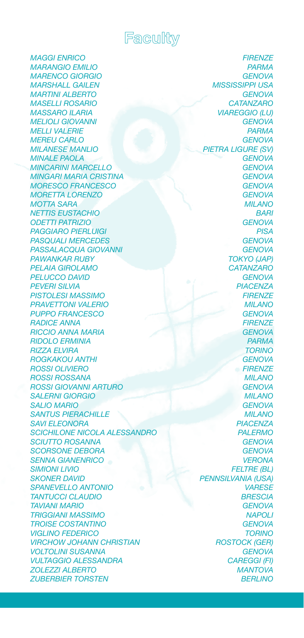

*MAGGI ENRICO FIRENZE MARANGIO EMILIO PARMA MARENCO GIORGIO GENOVA MARSHALL GAILEN MISSISSIPPI USA* **MARTINI ALBERTO** *MASELLI ROSARIO CATANZARO MASSARO ILARIA VIAREGGIO (LU) MELIOLI GIOVANNI GENOVA MELLI VALERIE MEREU CARLO GENOVA MINALE PAOLA GENOVA MINCARINI MARCELLO GENOVA MINGARI MARIA CRISTINA GENOVA MORESCO FRANCESCO GENOVA MORETTA LORENZO MOTTA SARA MILANO NETTIS EUSTACHIO BARI ODETTI PATRIZIO GENOVA PAGGIARO PIERLUIGI PISA PASQUALI MERCEDES GENOVA* **PASSALACQUA GIOVANNI** *PAWANKAR RUBY TOKYO (JAP)* **PELAIA GIROLAMO** *PELUCCO DAVID GENOVA PEVERI SILVIA PIACENZA* **PISTOLESI MASSIMO** *PRAVETTONI VALERIO MILANO PUPPO FRANCESCO GENOVA RADICE ANNA FIRENZE RICCIO ANNA MARIA GENOVA RIDOLO ERMINIA PARMA RIZZA ELVIRA TORINO ROGKAKOU ANTHI GENOVA ROSSI OLIVIERO FIRENZE ROSSI ROSSANA MILANO ROSSI GIOVANNI ARTURO GENOVA SALERNI GIORGIO MILANO SALIO MARIO GENOVA SANTUS PIERACHILLE MILANO SAVI ELEONORA PIACENZA SCICHILONE NICOLA ALESSANDRO PALERMO SCIUTTO ROSANNA GENOVA SCORSONE DEBORA GENOVA SENNA GIANENRICO VERONA SIMIONI LIVIO FELTRE (BL) SKONER DAVID PENNSILVANIA (USA) SPANEVELLO ANTONIO VARESE TANTUCCI CLAUDIO BRESCIA TAVIANI MARIO GENOVA TRIGGIANI MASSIMO NAPOLI TROISE COSTANTINO GENOVA VIGLINO FEDERICO TORINO VIRCHOW JOHANN CHRISTIAN ROSTOCK (GER) VOLTOLINI SUSANNA GENOVA VULTAGGIO ALESSANDRA CAREGGI (FI) ZOLEZZI ALBERTO MANTOVA ZUBERBIER TORSTEN BERLINO*

*MILANESE MANLIO PIETRA LIGURE (SV)*